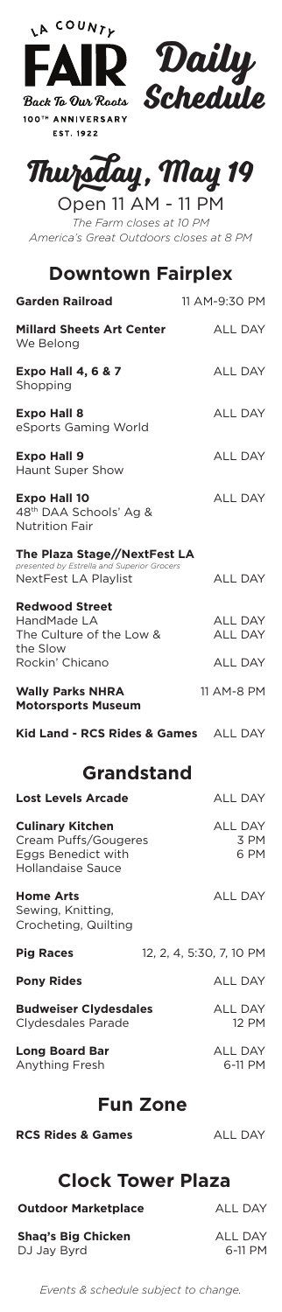

100TH ANNIVERSARY **EST. 1922** 



# **Thursday, May 19**

Open 11 AM - 11 PM *The Farm closes at 10 PM America's Great Outdoors closes at 8 PM*

#### **Downtown Fairplex**

| 11 AM-9:30 PM                                                                                |
|----------------------------------------------------------------------------------------------|
| <b>ALL DAY</b>                                                                               |
| <b>ALL DAY</b>                                                                               |
| <b>ALL DAY</b>                                                                               |
| <b>ALL DAY</b>                                                                               |
| <b>ALL DAY</b>                                                                               |
| The Plaza Stage//NextFest LA<br>presented by Estrella and Superior Grocers<br><b>ALL DAY</b> |
| <b>ALL DAY</b><br><b>ALL DAY</b><br><b>ALL DAY</b>                                           |
| 11 AM-8 PM                                                                                   |
|                                                                                              |

ALL DAY **Kid Land - RCS Rides & Games**

### **Grandstand**

| <b>ALL DAY</b> |
|----------------|
| ALL DAY        |
| 3 PM           |
| 6 PM           |
|                |

**Home Arts** Sewing, Knitting, Crocheting, Quilting

12, 2, 4, 5:30, 7, 10 PM ALL DAY ALL DAY 12 PM ALL DAY 6-11 PM **Pig Races Pony Rides Budweiser Clydesdales** Clydesdales Parade **Long Board Bar** Anything Fresh

### **Fun Zone**

**RCS Rides & Games** ALL DAY

ALL DAY

## **Clock Tower Plaza**

**Outdoor Marketplace**

**Shaq's Big Chicken** DJ Jay Byrd

*Events & schedule subject to change.*

ALL DAY ALL DAY 6-11 PM